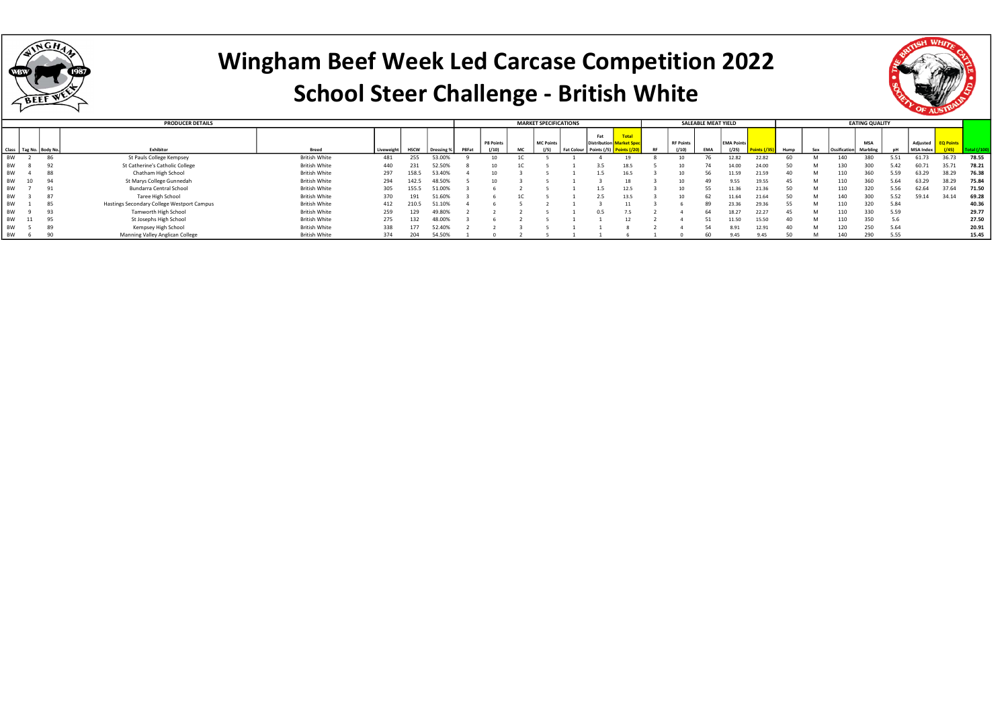

### Wingham Beef Week Led Carcase Competition 2022 School Steer Challenge - British White

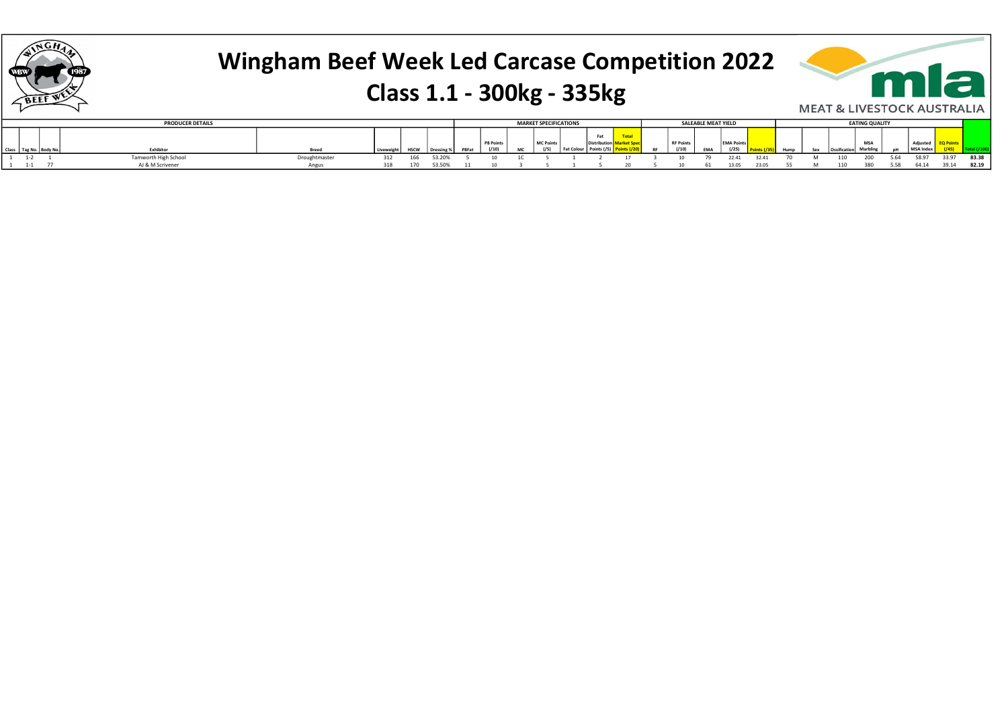

# Wingham Beef Week Led Carcase Competition 2022 Class 1.1 - 300kg - 335kg



|         |                    | <b>PRODUCER DETAILS</b> |               |          |     |            |       |                  |    | <b>MARKET SPECIFICATIONS</b> |                 |               |           |                | <b>SALEABLE MEAT YIELD</b> |                 |       |      |   |             | <b>EATING QUALITY</b> |      |          |       |       |
|---------|--------------------|-------------------------|---------------|----------|-----|------------|-------|------------------|----|------------------------------|-----------------|---------------|-----------|----------------|----------------------------|-----------------|-------|------|---|-------------|-----------------------|------|----------|-------|-------|
|         |                    |                         |               |          |     |            |       |                  |    |                              |                 | Fat           |           |                |                            |                 |       |      |   |             |                       |      |          |       |       |
|         |                    |                         |               |          |     |            |       | PR <sub>Po</sub> |    |                              |                 |               |           | <b>RF Poir</b> |                            | <b>EMA Poin</b> |       |      |   |             | <b>MSA</b>            |      |          |       |       |
|         | Tag No.   Body No. | Exhibitor               | <b>Breed</b>  | Liveweig |     | Dressing % | P8Fat |                  | MC |                              | <b>Fat Cold</b> | Points $(75)$ | <b>RF</b> | (110)          | <b>EMA</b>                 | ( / 25)         |       | Hump |   | Ossificatio | Marbling              |      | MSA Inde |       |       |
| $1 - 2$ |                    | Tamworth High School    | Droughtmaster | 312      | 166 | 53.20%     |       |                  |    |                              |                 |               |           |                |                            | 22.41           | 32.41 |      | M | 110         | 200                   | 5.64 | 58.97    | 33.97 | 83.38 |
|         |                    | AJ & M Scrivener        | Angus         | 318      | 170 | 53.50%     |       |                  |    |                              |                 |               |           |                | 61                         | 13.05           | 23.05 |      |   | 110         | 380                   | 5.58 | 64.14    | 39.14 | 82.19 |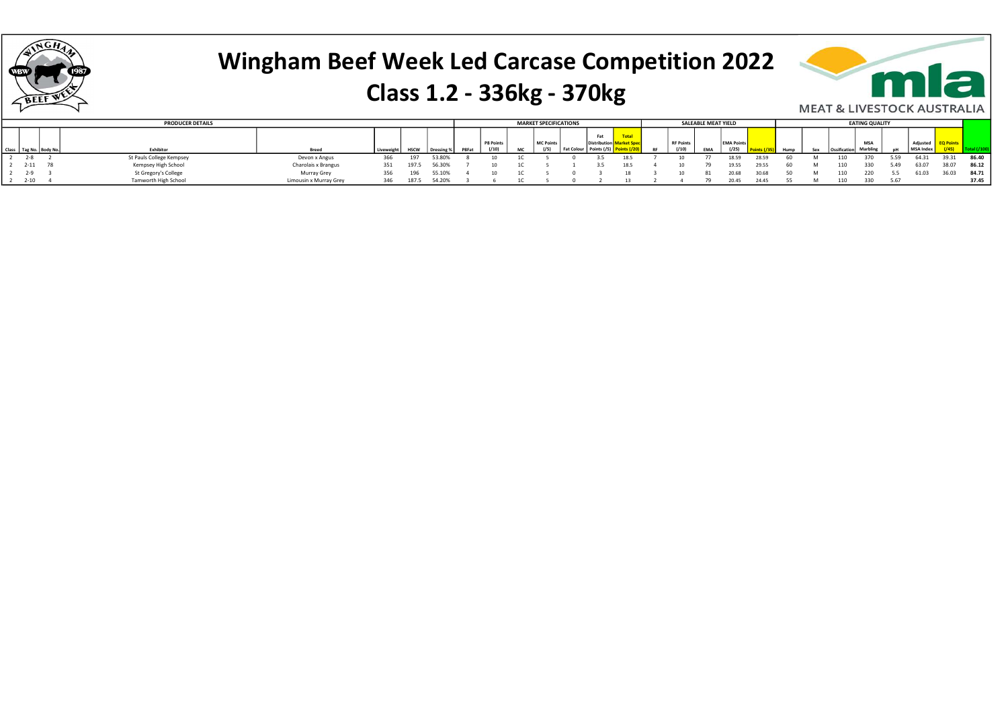

#### Class 1.2 - 336kg - 370kg



| <b>MEAT &amp; LIVESTOCK AUSTRALI</b> |  |  |  |
|--------------------------------------|--|--|--|
|                                      |  |  |  |

|              | <b>PRODUCER DETAILS</b>  |                        |     |             |        |              |          |     | <b>MARKET SPECIFICATIONS</b> |                 |                     |      |                  | <b>SALEABLE MEAT YIELD</b> |                   |       |  | <b>EATING QUALITY</b> |      |           |       |       |
|--------------|--------------------------|------------------------|-----|-------------|--------|--------------|----------|-----|------------------------------|-----------------|---------------------|------|------------------|----------------------------|-------------------|-------|--|-----------------------|------|-----------|-------|-------|
|              |                          |                        |     |             |        |              |          |     |                              |                 | Fat                 |      |                  |                            |                   |       |  |                       |      |           |       |       |
|              |                          |                        |     |             |        |              | P8 Point |     | MC Points                    |                 | <b>Distribution</b> |      | <b>RF Points</b> |                            | <b>EMA Points</b> |       |  | <b>MSA</b>            |      | Adiusted  |       |       |
| Tag No. Body | Exhibitor                | <b>Breed</b>           |     | <b>HSCW</b> |        | <b>PRFat</b> |          | MC. |                              | <b>Fat Colo</b> |                     |      | (110)            | EMA                        | (125)             |       |  |                       |      | MSA Index |       |       |
|              | St Pauls College Kempsey | Devon x Angus          | 366 | 197         | 53.80% |              |          |     |                              |                 |                     |      |                  |                            |                   | 28.59 |  |                       | 5.59 | 64.31     | 39.31 | 86.40 |
| 2-11 78      | Kempsey High School      | Charolais x Brangus    | 351 | 197.5       | 56.30% |              |          |     |                              |                 |                     | 18.5 |                  |                            | 19.55             | 29.55 |  |                       | 5.49 | 63.07     | 38.07 | 86.12 |
| $2 - 9$      | St Gregory's College     | Murray Grey            | 356 | 196         | 55.10% |              |          |     |                              |                 |                     |      |                  |                            |                   |       |  |                       |      | 61.03     | 36.03 | 84.71 |
| $2 - 10$     | Tamworth High School     | Limousin x Murray Grey | 346 | 187.5       | 54.20% |              |          |     |                              |                 |                     |      |                  |                            | 20.45             | 24.45 |  |                       | 5.67 |           |       | 37.45 |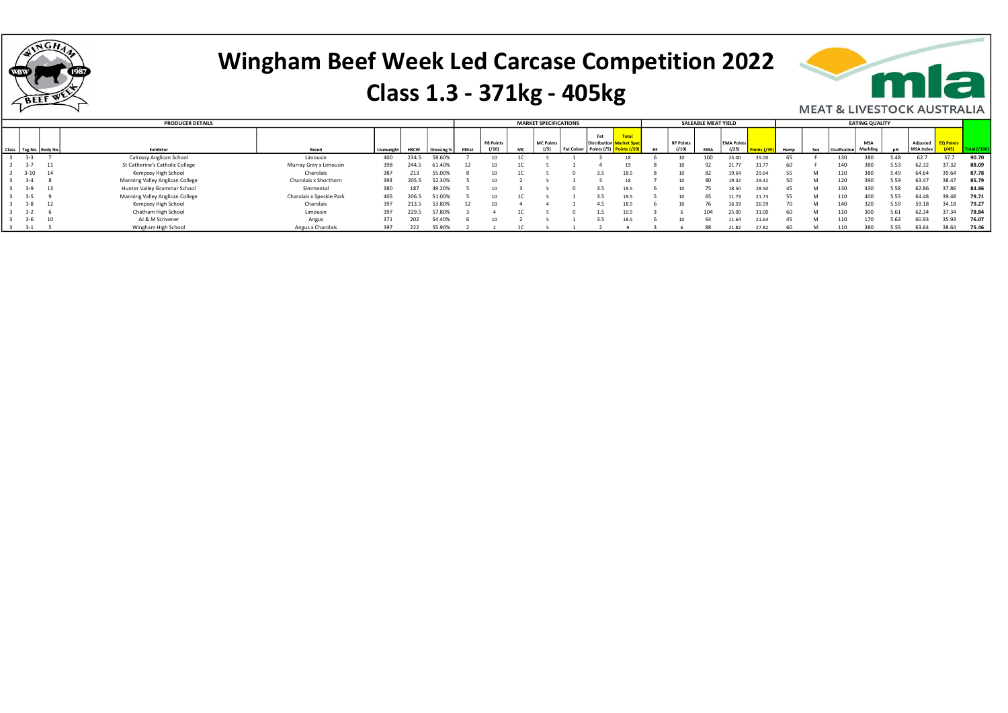

#### Class 1.3 - 371kg - 405kg



|          |                            | <b>PRODUCER DETAILS</b>         |                          |            |             |            |       |                 |    | <b>MARKET SPECIFICATIONS</b> |                   |                     |      |                           | SALEABLE MEAT YIELD |                   |       |      |     |              | <b>EATING QUALITY</b> |      |                  |       |       |
|----------|----------------------------|---------------------------------|--------------------------|------------|-------------|------------|-------|-----------------|----|------------------------------|-------------------|---------------------|------|---------------------------|---------------------|-------------------|-------|------|-----|--------------|-----------------------|------|------------------|-------|-------|
|          |                            |                                 |                          |            |             |            |       |                 |    |                              |                   | Fat                 |      |                           |                     |                   |       |      |     |              |                       |      |                  |       |       |
|          |                            |                                 |                          |            |             |            |       | P8 Points       |    | MC Points                    |                   | <b>Distribution</b> |      | <b>RF Points</b><br>(110) |                     | <b>EMA Points</b> |       |      |     |              | <b>MSA</b>            |      | Adjusted         |       |       |
|          | Class   Tag No.   Body No. | Exhibitor                       | <b>Breed</b>             | Liveweight | <b>HSCW</b> | Dressing % | P8Fat | (110)           | MC |                              | <b>Fat Colour</b> | Points $(75)$       |      |                           | EMA                 | ( / 25)           |       | Hump | Sex | Ossification | Marbling              |      | <b>MSA Index</b> |       |       |
| $3 - 3$  |                            | Calrossy Anglican School        | Limousin                 | 400        | 234.5       | 58.60%     |       |                 |    |                              |                   |                     |      |                           |                     | 25.00             | 35.00 |      |     | 130          | 380                   | 5.48 | 62.7             | 37.7  | 90.70 |
| $3 - 7$  | 11                         | St Catherine's Catholic College | Murray Grey x Limousin   | 398        | 244.5       | 61.40%     |       |                 |    |                              |                   |                     |      | 10                        |                     | 21.77             |       |      |     | 140          | 380                   | 5.53 | 62.32            | 37.32 | 88.09 |
| $3 - 10$ |                            | Kempsey High School             | Charolais                | 387        | 213         | 55.009     |       | 10 <sup>1</sup> |    |                              |                   |                     | 18.5 | 10                        |                     | 19.64             | 29.64 |      | M   | 110          | 380                   | 5.49 | 64.64            | 39.64 | 87.78 |
| $3 - 4$  |                            | Manning Valley Anglican College | Charolais x Shorthorn    | 393        | 205.5       | 52.30%     |       |                 |    |                              |                   |                     |      | 10                        |                     | 19.32             | 29.32 |      |     | 120          | 390                   | 5.59 | 63.47            | 38.47 | 85.79 |
|          |                            | Hunter Valley Grammar School    | Simmental                | 380        | 187         | 49.20%     |       |                 |    |                              |                   |                     | 18.5 | 10                        |                     | 18.50             | 28.50 |      |     | 130          | 430                   | 5.58 | 62.86            | 37.86 | 84.86 |
| $3 - 5$  |                            | Manning Valley Anglican College | Charolais x Speckle Park | 405        | 206.5       | 51.00%     |       | 10 <sup>1</sup> |    |                              |                   | 3.5                 | 18.5 | 10                        |                     | 11.73             | 21.73 |      | M   | 110          | 400                   | 5.55 | 64.48            | 39.48 | 79.71 |
| $3 - 8$  |                            | Kempsey High School             | Charolais                | 397        | 213.5       | 53.80%     |       |                 |    |                              |                   | 4.5                 | 18.5 | 10                        | 76                  | 16.59             | 26.59 |      |     | 140          | 320                   | 5.59 | 59.18            | 34.18 | 79.27 |
| $3 - 2$  |                            | Chatham High School             | Limousin                 | 397        | 229.5       | 57.80%     |       |                 |    |                              |                   | 1.5                 | 10.5 |                           | 104                 | 25.00             | 31.00 | 60   | M   | 110          | 300                   | 5.61 | 62.34            | 37.34 | 78.84 |
|          | 10                         | AJ & M Scrivener                | Angus                    | 371        | 202         | 54.40%     |       |                 |    |                              |                   |                     | 18.5 | 10                        |                     | 11.64             | 21.64 | 45   |     | 110          | 170                   | 5.62 | 60.93            | 35.93 | 76.07 |
| -3-1     |                            | Wingham High School             | Angus x Charolais        | 397        | 222         | 55.90%     |       |                 |    |                              |                   |                     |      |                           | 88                  | 21.82             | 27.82 |      |     | 110          | 380                   | 5.55 | 63.64            | 38.64 | 75.46 |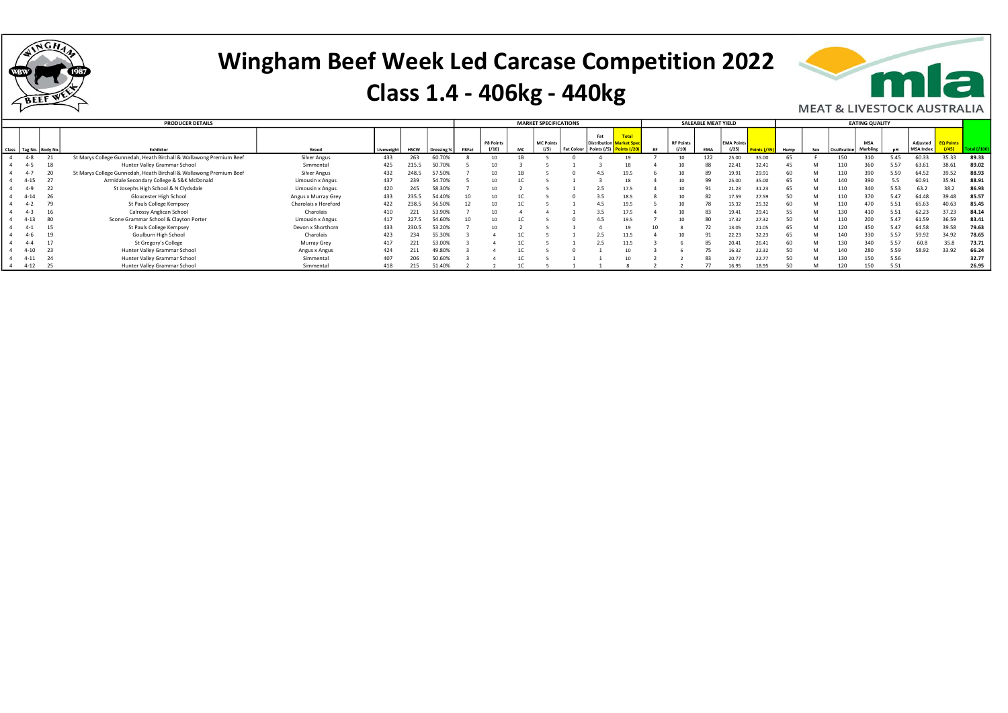

#### Class 1.4 - 406kg - 440kg



|          |                            | <b>PRODUCER DETAILS</b>                                            |                      |            |             |            |       |                  |     | <b>MARKET SPECIFICATIONS</b> |                   |                                        |       |           |                  | SALEABLE MEAT YIELD |                   |       |      |     |                       | <b>EATING QUALITY</b> |      |                  |                  |       |
|----------|----------------------------|--------------------------------------------------------------------|----------------------|------------|-------------|------------|-------|------------------|-----|------------------------------|-------------------|----------------------------------------|-------|-----------|------------------|---------------------|-------------------|-------|------|-----|-----------------------|-----------------------|------|------------------|------------------|-------|
|          |                            |                                                                    |                      |            |             |            |       | <b>P8 Points</b> |     | <b>MC Points</b>             |                   | Fat<br><b>Distribution Market Spec</b> | Total |           | <b>RF Points</b> |                     | <b>EMA Points</b> |       |      |     |                       | <b>MSA</b>            |      | Adiusted         | <b>EQ Points</b> |       |
|          | Class   Tag No.   Body No. | <b>Fxhibitor</b>                                                   | <b>Breed</b>         | Liveweight | <b>HSCW</b> | Dressing % | P8Fat | (110)            | MC. | (15)                         | <b>Fat Colour</b> | Points $(75)$                          |       | <b>RF</b> |                  | <b>FMA</b>          | (125)             |       | Hump | Sex | Ossification Marbling |                       |      | <b>MSA Index</b> |                  |       |
| $4 - 8$  |                            | St Marys College Gunnedah, Heath Birchall & Wallawong Premium Beef | <b>Silver Angus</b>  | 433        | 263         | 60.70%     |       |                  |     |                              |                   |                                        |       |           |                  |                     |                   |       |      |     |                       |                       |      |                  | 35.33            | 89.33 |
| $4 - 5$  |                            | Hunter Valley Grammar School                                       | Simmental            | 425        | 215.5       | 50.709     |       |                  |     |                              |                   |                                        |       |           |                  |                     | 22.41             |       |      |     |                       |                       |      |                  |                  | 89.02 |
| $4-7$    |                            | St Marys College Gunnedah, Heath Birchall & Wallawong Premium Beef | <b>Silver Angus</b>  | 432        | 248.5       | 57.50%     |       |                  |     |                              |                   |                                        |       |           |                  |                     |                   | 29.91 |      |     |                       |                       |      | 64.52            |                  | 88.93 |
| $4 - 15$ | 27                         | Armidale Secondary College & S&K McDonald                          | Limousin x Angus     | 437        | 239         | 54.709     |       |                  |     |                              |                   |                                        |       |           |                  | q                   |                   |       |      |     | 140                   |                       |      |                  |                  | 88.91 |
| 4-9      | 22                         | St Josephs High School & N Clydsdale                               | Limousin x Angus     | 420        | 245         | 58.309     |       |                  |     |                              |                   |                                        | 17.5  |           |                  |                     | 21.23             |       |      |     | 110                   | 340                   | 5.53 | 63.2             |                  | 86.93 |
| $4 - 14$ |                            | Gloucester High School                                             | Angus x Murray Grey  | 433        | 235.5       | 54.40%     |       |                  |     |                              |                   |                                        | 18.5  |           |                  |                     | 17.59             | 27.59 |      |     |                       | 370                   |      | 64.48            | 1.48             | 85.57 |
| $4 - 2$  | 7 <sup>°</sup>             | St Pauls College Kempsey                                           | Charolais x Hereford | 422        | 238.5       | 56.509     |       |                  |     |                              |                   |                                        | 19.5  |           |                  |                     |                   |       |      |     | 110                   |                       |      | 65.63            |                  | 85.45 |
| $4 - 3$  |                            | Calrossy Anglican School                                           | Charolais            | 410        | 221         | 53.909     |       |                  |     |                              |                   |                                        | 17.5  |           |                  |                     | 19.4              | 29.41 |      |     |                       |                       |      | 62.23            |                  | 84.14 |
| $4 - 13$ |                            | Scone Grammar School & Clayton Porter                              | Limousin x Angus     | 417        | 227.5       | 54.60%     |       |                  |     |                              |                   |                                        | 19.5  |           | 10               |                     | 17.33             | 27.32 |      |     | 110                   |                       |      | 61.59            |                  | 83.41 |
| 4-1      |                            | St Pauls College Kempsey                                           | Devon x Shorthorn    | 433        | 230.5       | 53.209     |       |                  |     |                              |                   |                                        |       |           |                  |                     | 13.05             | 21.05 |      |     | 120                   |                       |      | 64.58            | 39.58            | 79.63 |
| 4-ь      |                            | Goulburn High School                                               | Charolais            | 423        | 234         | 55.309     |       |                  |     |                              |                   |                                        | 11.5  |           |                  |                     | 22.23             | 32.23 |      |     |                       |                       |      | 59.92            |                  | 78.65 |
|          |                            | St Gregory's College                                               | Murray Grey          | 417        | 221         | 53.00%     |       |                  |     |                              |                   |                                        | 11.5  |           |                  |                     |                   |       |      |     |                       |                       |      |                  |                  | 73.71 |
| $4 - 10$ | 23                         | Hunter Valley Grammar School                                       | Angus x Angus        | 424        | 411         | 49.809     |       |                  |     |                              |                   |                                        |       |           |                  |                     | 16.37             | 22.32 |      |     |                       |                       |      | 58.92            |                  | 66.24 |
| 4-11     |                            | Hunter Valley Grammar School                                       | Simmental            | 407        | 206         | 50.609     |       |                  |     |                              |                   |                                        |       |           |                  |                     |                   |       |      |     |                       | 150                   | 5.56 |                  |                  | 32.77 |
| $4 - 12$ | 25                         | Hunter Valley Grammar School                                       | Simmental            | 418        | 215         | 51.409     |       |                  |     |                              |                   |                                        |       |           |                  |                     |                   |       |      |     |                       |                       |      |                  |                  | 26.95 |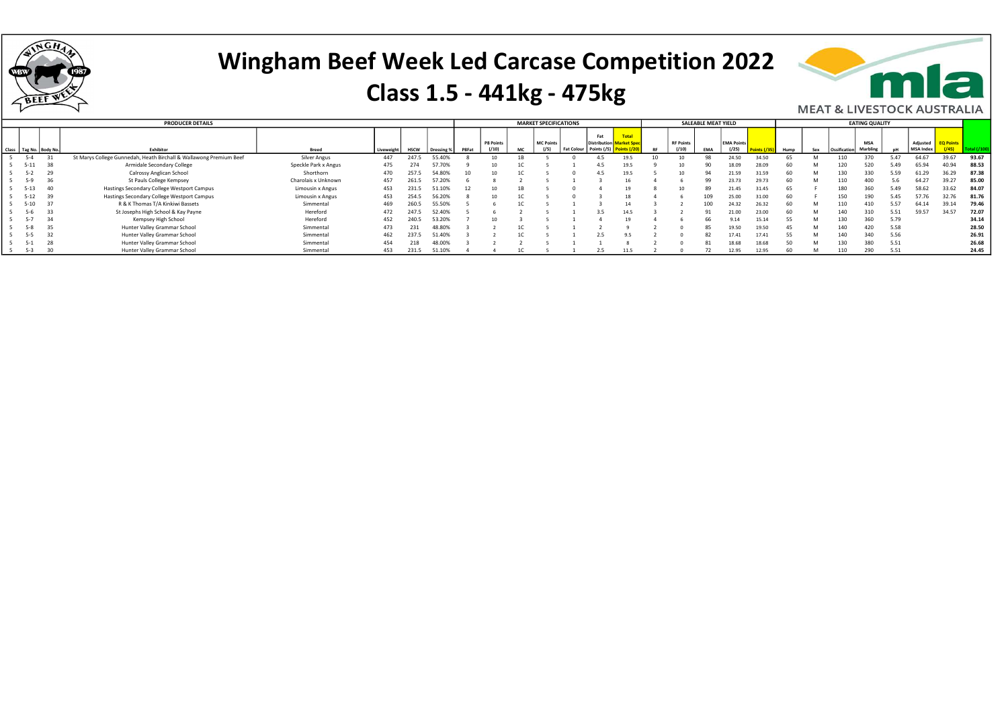

#### Class 1.5 - 441kg - 475kg



|          |                        | <b>PRODUCER DETAILS</b>                                            |                      |            |             |            |       |           | <b>MARKET SPECIFICATIONS</b> |                  |                                       |       |                  | SALEABLE MEAT YIELD |                   |       |      |     |                       | <b>EATING QUALITY</b> |      |           |                  |       |
|----------|------------------------|--------------------------------------------------------------------|----------------------|------------|-------------|------------|-------|-----------|------------------------------|------------------|---------------------------------------|-------|------------------|---------------------|-------------------|-------|------|-----|-----------------------|-----------------------|------|-----------|------------------|-------|
|          |                        |                                                                    |                      |            |             |            |       | P8 Points | <b>MC Points</b>             |                  | Fat<br><b>Distribution Market Spe</b> | Total | <b>RF Points</b> |                     | <b>EMA Points</b> |       |      |     |                       | <b>MSA</b>            |      | Adjusted  | <b>EQ Points</b> |       |
|          | Class Tag No. Body No. | <b>Fxhibitor</b>                                                   | Breed                | Liveweight | <b>HSCW</b> | Dressing % | P8Fat | (110)     |                              | I Fat Colour 1 + | Points $(75)$                         |       |                  |                     | (125)             |       | Humn | Sex | Ossification Marbling |                       |      | MSA Index |                  |       |
| $5 - 4$  | 31                     | St Marys College Gunnedah, Heath Birchall & Wallawong Premium Beef | <b>Silver Angus</b>  | 447        | 247.5       | 55.40%     |       |           |                              |                  |                                       | 19.5  |                  |                     | 24.50             | 34.50 |      |     |                       |                       |      | 64.67     | 39.67            | 93.67 |
| $5 - 11$ | 38                     | Armidale Secondary College                                         | Speckle Park x Angus | 475        |             | 57.70%     |       |           |                              |                  |                                       | 19.5  |                  |                     | 18.09             | 28.09 |      |     |                       |                       |      | 55.94     | 40.94            | 88.53 |
| $5 - 2$  | 29                     | Calrossy Anglican School                                           | Shorthorn            | 470        | 257.5       | 54.80%     |       |           |                              |                  |                                       | 19.5  |                  |                     | 21.59             | 31.59 |      |     | 130                   |                       |      |           | 36.29            | 87.38 |
| $5-9$    | 36                     | St Pauls College Kempsey                                           | Charolais x Unknown  | 457        | 261.5       | 57.20%     |       |           |                              |                  |                                       |       |                  | qq                  | 23.73             | 29.73 |      |     | 110                   | 400                   |      | 64.27     |                  | 85.00 |
| $5 - 13$ | 40                     | Hastings Secondary College Westport Campus                         | Limousin x Angus     | 453        | 231.5       | 51.10%     |       |           |                              |                  |                                       |       | 10               |                     | 21.45             | 31.45 |      |     | 180                   | 360                   |      | 58.62     |                  | 84.07 |
|          | 39                     | Hastings Secondary College Westport Campus                         | Limousin x Angus     | 453        | 254.5       | 56.20%     |       |           |                              |                  |                                       |       |                  | 10 <sup>c</sup>     |                   | 81.OC |      |     | 150                   | 190                   |      |           |                  | 81.76 |
|          |                        | R & K Thomas T/A Kinkiwi Bassets                                   | Simmental            | 469        | 260.5       | 55.50%     |       |           |                              |                  |                                       |       |                  | 100                 | 24.32             | 26.32 |      |     |                       |                       |      | 64.14     |                  | 79.46 |
| $5 - 6$  | 33                     | St Josephs High School & Kay Payne                                 | Hereford             | 472        | 247.5       | 52.40%     |       |           |                              |                  |                                       | 14.5  |                  |                     |                   | 23.00 |      |     | 140                   |                       |      | 59.57     | 34.57            | 72.07 |
|          | 34                     | Kempsey High School                                                | Hereford             | 452        | 240.5       | 53.20%     |       |           |                              |                  |                                       |       |                  | ьh                  |                   | 15.14 |      |     | 130                   | 360                   | 5.79 |           |                  | 34.14 |
| $5-8$    | 35                     | Hunter Valley Grammar School                                       | Simmental            | 473        |             | 48.80%     |       |           |                              |                  |                                       |       |                  | 85                  | 19.50             | 19.50 |      |     | 140                   | 420                   | 5.58 |           |                  | 28.50 |
|          | 32                     | Hunter Valley Grammar School                                       | Simmental            | 462        | 237.5       | 51.40%     |       |           |                              |                  |                                       |       |                  |                     | 17.4              |       |      |     | 140                   | 340                   | 5.56 |           |                  | 26.91 |
|          |                        | Hunter Valley Grammar School                                       | Simmental            | 454        |             | 48.00%     |       |           |                              |                  |                                       |       |                  |                     | 18.68             | 18.68 |      |     | 130                   | 380                   | 5.51 |           |                  | 26.68 |
| $5-3$    |                        | Hunter Valley Grammar School                                       | Simmental            | 453        | 231.5       | 51.10%     |       |           |                              |                  |                                       |       |                  |                     | 12.95             | 12.95 |      |     | 110                   | 290                   | 5.51 |           |                  | 24.45 |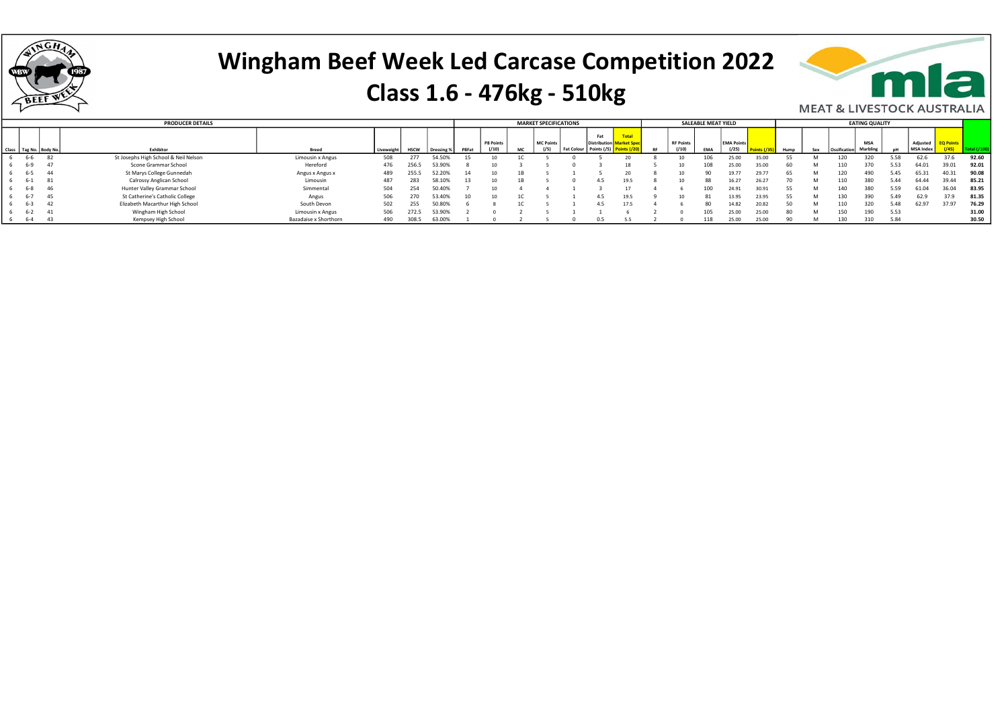

#### Class 1.6 - 476kg - 510kg



|         |                        | <b>PRODUCER DETAILS</b>              |                       |           |             |            |                          |           | <b>MARKET SPECIFICATIONS</b> |                   |                     |           |                          | SALEABLE MEAT YIELD |                   |       |      |             | <b>EATING QUALITY</b> |      |           |       |       |
|---------|------------------------|--------------------------------------|-----------------------|-----------|-------------|------------|--------------------------|-----------|------------------------------|-------------------|---------------------|-----------|--------------------------|---------------------|-------------------|-------|------|-------------|-----------------------|------|-----------|-------|-------|
|         |                        |                                      |                       |           |             |            |                          |           |                              |                   | Fat                 |           |                          |                     |                   |       |      |             |                       |      |           |       |       |
|         |                        |                                      |                       |           |             |            |                          | P8 Points | <b>MC Points</b>             |                   | <b>Distribution</b> |           | <b>RF Points</b>         |                     | <b>EMA Points</b> |       |      |             | <b>MSA</b>            |      | Adjusted  |       |       |
|         | Class Tag No. Body No. | Exhibitor                            | Breed                 | Liveweigh | <b>HSCW</b> | Dressing 9 | <b>P</b> <sub>RFat</sub> | (110)     | (15)                         | <b>Fat Colour</b> |                     | <b>RF</b> |                          | <b>FMA</b>          | (125)             |       | Humn | Ossificatio | Marhling              |      | MSA Index |       |       |
| 6-6     | - 82                   | St Josephs High School & Neil Nelson | Limousin x Angus      | 508       |             | 54.50%     |                          |           |                              |                   |                     |           |                          |                     | 25.00             | 35.00 |      |             |                       |      | 62.6      |       | 92.60 |
| $6 - 9$ | -47                    | Scone Grammar School                 | Hereford              | 476       | 256.5       | 53.90%     |                          |           |                              |                   |                     |           | $\sim$                   | 108                 | 25.00             | 35.00 |      |             |                       |      | 64.01     | 39.01 | 92.01 |
| 6-5     | - 44                   | St Marys College Gunnedah            | Angus x Angus x       | 489       | 255.5       | 52.20%     |                          | 10        |                              |                   |                     |           | $\sim$                   |                     | 10 77             | 29.77 |      |             |                       |      | 65.31     | 40.3. | 90.08 |
| 6-1     | 81                     | Calrossy Anglican School             | Limousin              | 487       | 283         | 58.10%     |                          |           |                              |                   | 4.5                 |           | $\overline{\phantom{a}}$ |                     | 16.27             | 26.27 |      |             |                       |      | 64.44     | 39.44 | 85.21 |
| $6 - 8$ | 46                     | Hunter Valley Grammar School         | Simmental             | 504       | 254         | 50.40%     |                          |           |                              |                   |                     |           |                          | 100                 | 24.91             | 30.91 |      | 140         | 380                   | 5.59 | 61.04     | 36.04 | 83.95 |
| $6 - 7$ | - 45                   | St Catherine's Catholic College      | Angus                 | 506       | 270         | 3.40%      |                          |           |                              |                   | 4.5                 |           |                          |                     |                   | 23.95 |      |             |                       | 5.49 | 62.9      |       | 81.35 |
| 6-3     | 42                     | Elizabeth Macarthur High School      | South Devon           | 502       | 255         | 50.80%     |                          |           |                              |                   | 4.5                 |           |                          | 80                  | 14.82             | 20.82 |      |             |                       | 5.48 | 62.97     | 37.97 | 76.29 |
| 6-2     | - 41                   | Wingham High School                  | Limousin x Angus      | 506       | 272.5       | 53.90%     |                          |           |                              |                   |                     |           |                          | 105                 | 25.00             | 25.00 | 80   | 150         | 190                   | 5.53 |           |       | 31.00 |
| 6-4     | - 43                   | Kempsey High School                  | Bazadaise x Shorthorn | 490       | 308.5       | 63.009     |                          |           |                              |                   |                     |           |                          | 118                 | 25.00             | 25.00 |      |             |                       | 5.84 |           |       | 30.50 |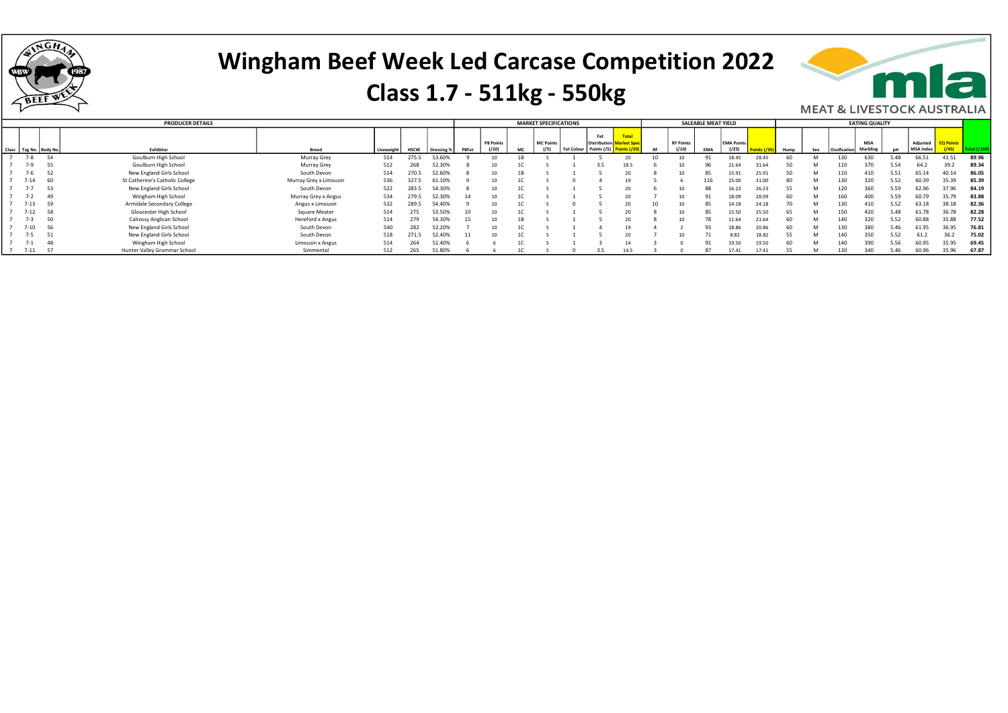

#### Class 1.7 - 511kg - 550kg



|          |                        | <b>PRODUCER DETAILS</b>         |                        |            |             |            |       |           |    | <b>MARKET SPECIFICATIONS</b> |                   |                     |                                   |           |                  | SALEABLE MEAT YIELD |                   |       |              |     |                 | <b>EATING QUALITY</b> |      |                  |                  |       |
|----------|------------------------|---------------------------------|------------------------|------------|-------------|------------|-------|-----------|----|------------------------------|-------------------|---------------------|-----------------------------------|-----------|------------------|---------------------|-------------------|-------|--------------|-----|-----------------|-----------------------|------|------------------|------------------|-------|
|          |                        |                                 |                        |            |             |            |       | P8 Points |    | MC Points                    |                   | Fat<br>Distribution | <b>Total</b><br><b>Market Spe</b> |           | <b>RF Points</b> |                     | <b>EMA Points</b> |       |              |     |                 | <b>MSA</b>            |      | Adjusted         | <b>EQ Points</b> |       |
|          | Class Tag No. Body No. | Exhibitor                       | <b>Breed</b>           | Liveweight | <b>HSCW</b> | Dressing % | P8Fat | (10)      | МC | (15)                         | <b>Fat Colour</b> | Points (/5)         |                                   | <b>RF</b> | (10)             | <b>EMA</b>          | ( / 25)           |       | Hump         | Sex | Ossification    | Marbling              |      | <b>MSA Index</b> |                  |       |
| $7 - 8$  |                        | Goulburn High School            | Murray Grey            | 514        | 275.5       | 53.60%     |       |           |    |                              |                   |                     |                                   |           |                  |                     | 18.45             | 28.45 |              |     |                 | 630                   |      | 66.51            | 41.51            | 89.96 |
|          | 55                     | Goulburn High School            | Murray Grey            | 512        | 268         | 52.30%     |       |           |    |                              |                   | 3.5                 |                                   |           |                  |                     | 21.64             | 31.64 |              |     |                 |                       | 5.54 | 64.              | 39.2             | 89.34 |
| 1-6      |                        | New England Girls School        | South Devon            | 514        | 270.5       | 52.60%     |       |           |    |                              |                   |                     |                                   |           |                  | 85                  | 15.91             | 25.91 | 50           |     | 110             |                       | 5.51 | 65.14            |                  | 86.05 |
|          | 60                     | St Catherine's Catholic College | Murray Grey x Limousin | 536        | 327.5       | 61.10%     |       |           |    |                              |                   |                     | 19                                |           |                  | 116                 | 25.00             | 31.00 | $\mathbf{R}$ |     |                 |                       | 5.52 | 60.39            |                  | 85.39 |
|          |                        | New England Girls School        | South Devon            | 522        | 283.5       | 54.30%     |       |           |    |                              |                   |                     |                                   |           | $\sim$           |                     | 16.23             | 26.23 |              |     | 120             |                       |      | 62.96            |                  | 84.19 |
| -2       |                        | Wingham High School             | Murray Grey x Angus    | 534        | 279.5       | 52.309     |       |           |    |                              |                   |                     |                                   |           |                  |                     | 18.09             | 28.09 |              |     |                 |                       |      | 60.79            | 35.7°            | 83.88 |
| $7 - 13$ | 59                     | Armidale Secondary College      | Angus x Limousin       | 532        | 289.5       | 54.40%     |       |           |    |                              |                   |                     |                                   |           |                  |                     | 14.18             | 24.18 |              |     | 13 <sub>1</sub> |                       |      | 63.18            | 38.18            | 82.36 |
| $7 - 12$ | 58                     | Gloucester High School          | Square Meater          | 514        | 275         | 53.50%     | 10    |           |    |                              |                   |                     |                                   |           |                  | 85                  | 15.50             | 25.50 | 65           |     | 150             | 420                   | 5.48 | 61.78            | 36.78            | 82.28 |
|          | 50                     | Calrossy Anglican School        | Hereford x Angus       | 514        | 279         | 54.30%     | 15    |           |    |                              |                   |                     |                                   |           |                  |                     | 11.64             | 21.64 |              |     |                 |                       | 5.52 | 60.88            | 35.88            | 77.52 |
| $7 - 10$ | 56                     | New England Girls School        | South Devon            | 540        | 282         | 52.20%     |       |           |    |                              |                   |                     |                                   |           |                  |                     | 18.86             | 20.86 | 60           |     | 130             | 380                   | 5.46 | 61.95            | 36.95            | 76.81 |
|          | 51                     | New England Girls School        | South Devon            | 518        | 271.5       | 52.40%     |       |           |    |                              |                   |                     |                                   |           |                  |                     | 8.82              | 18.82 | 55           |     |                 | 350                   | 5.52 | 61.              | 36.2             | 75.02 |
|          |                        | Wingham High School             | Limousin x Angus       | 514        | 264         | 51.40%     |       |           |    |                              |                   |                     | 14                                |           |                  |                     | 19.50             | 19.50 | 60           |     |                 |                       |      | 60.95            | 35.95            | 69.45 |
| $7 - 11$ |                        | Hunter Valley Grammar School    | Simmental              | 512        | 265         | 51.80%     |       |           |    |                              |                   |                     |                                   |           |                  |                     | 17.41             | 17.41 |              |     |                 |                       |      | 60.96            | 35.96            | 67.87 |